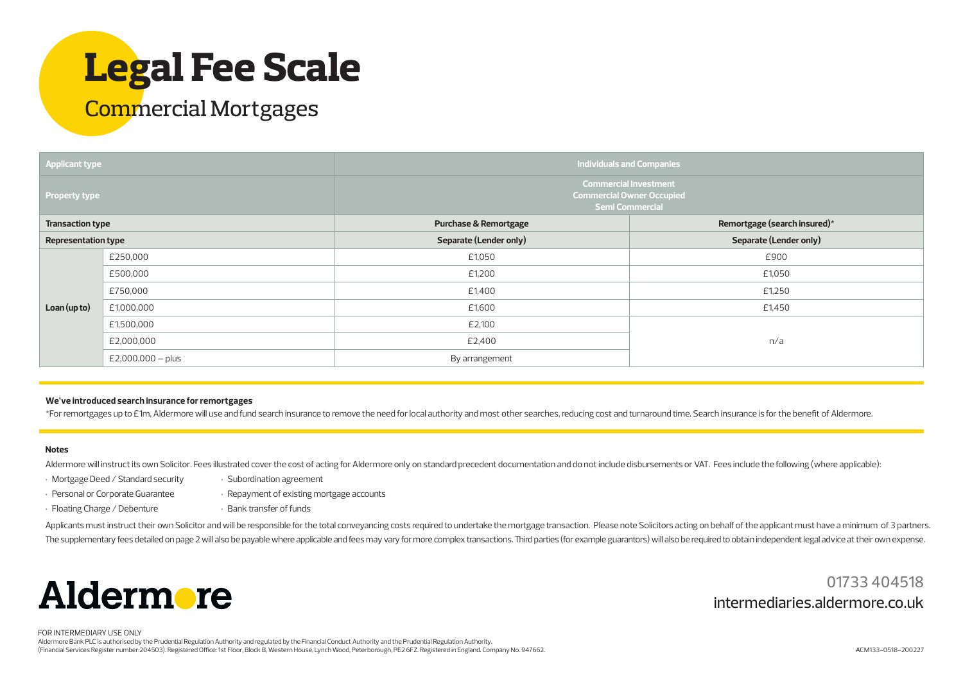# **Legal Fee Scale**

### Commercial Mortgages

| <b>Applicant type</b>      |                     | Individuals and Companies                                                                  |                              |
|----------------------------|---------------------|--------------------------------------------------------------------------------------------|------------------------------|
| <b>Property type</b>       |                     | <b>Commercial Investment</b><br><b>Commercial Owner Occupied</b><br><b>Semi Commercial</b> |                              |
| <b>Transaction type</b>    |                     | <b>Purchase &amp; Remortgage</b>                                                           | Remortgage (search insured)* |
| <b>Representation type</b> |                     | Separate (Lender only)                                                                     | Separate (Lender only)       |
| Loan (up to)               | £250,000            | £1,050                                                                                     | £900                         |
|                            | £500,000            | £1,200                                                                                     | £1,050                       |
|                            | £750,000            | £1,400                                                                                     | £1,250                       |
|                            | £1,000,000          | £1,600                                                                                     | £1,450                       |
|                            | £1,500,000          | £2,100                                                                                     |                              |
|                            | £2,000,000          | £2,400                                                                                     | n/a                          |
|                            | $E2,000,000 - plus$ | By arrangement                                                                             |                              |

#### **We've introduced search insurance for remortgages**

\*For remortgages up to £1m, Aldermore will use and fund search insurance to remove the need for local authority and most other searches, reducing cost and turnaround time. Search insurance is for the benefit ofAldermore.

#### **Notes**

Aldermore will instruct its own Solicitor. Fees illustrated cover the cost of acting for Aldermore only on standard precedent documentation and do not include disbursements or VAT. Fees include the following (where applica

- Mortgage Deed / Standard security
- Personal or Corporate Guarantee • Repayment of existing mortgage accounts
- Floating Charge / Debenture
- Bank transfer of funds

• Subordination agreement

Applicants must instruct their own Solicitor and will be responsible for the total conveyancing costs required to undertake the mortgage transaction. Please note Solicitors acting on behalf of the applicant must have a min The supplementary fees detailed on page 2 will also be payable where applicable and fees may vary for more complex transactions. Third parties (for example guarantors) will also be required to obtain independent legal advi



01733 404518 intermediaries.aldermore.co.uk